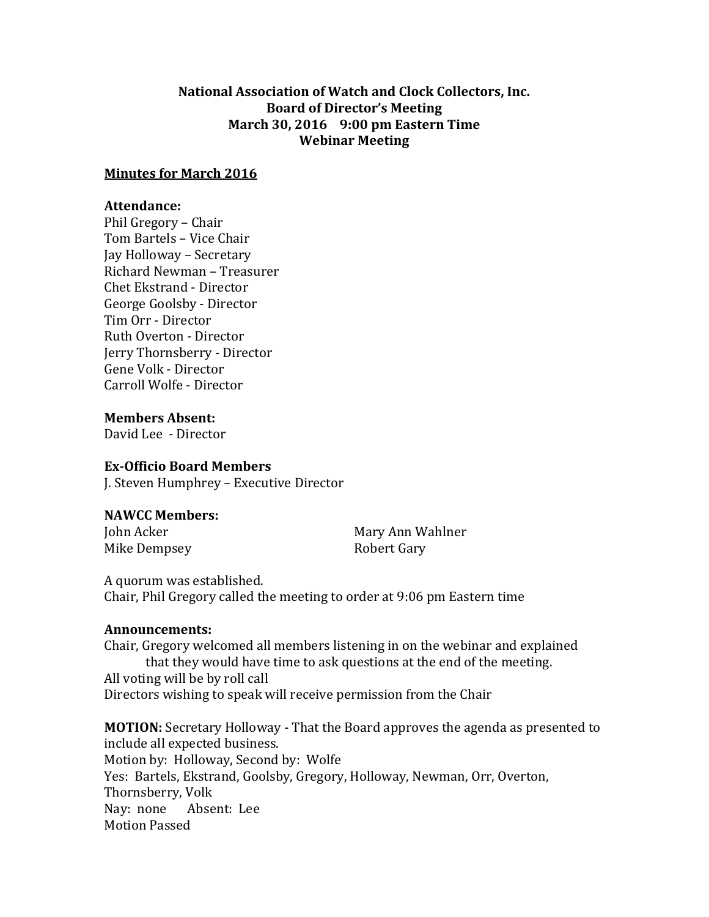## **National Association of Watch and Clock Collectors, Inc. Board of Director's Meeting March 30, 2016 9:00 pm Eastern Time Webinar Meeting**

### **Minutes for March 2016**

### **Attendance:**

Phil Gregory – Chair Tom Bartels – Vice Chair Jay Holloway – Secretary Richard Newman – Treasurer Chet Ekstrand - Director George Goolsby - Director Tim Orr - Director Ruth Overton - Director Jerry Thornsberry - Director Gene Volk - Director Carroll Wolfe - Director

**Members Absent:** David Lee - Director

## **Ex-Officio Board Members**

J. Steven Humphrey – Executive Director

#### **NAWCC Members:**

Mike Dempsey **Robert Gary** 

John Acker Mary Ann Wahlner

A quorum was established. Chair, Phil Gregory called the meeting to order at 9:06 pm Eastern time

#### **Announcements:**

Chair, Gregory welcomed all members listening in on the webinar and explained that they would have time to ask questions at the end of the meeting. All voting will be by roll call Directors wishing to speak will receive permission from the Chair

**MOTION:** Secretary Holloway - That the Board approves the agenda as presented to include all expected business. Motion by: Holloway, Second by: Wolfe Yes: Bartels, Ekstrand, Goolsby, Gregory, Holloway, Newman, Orr, Overton, Thornsberry, Volk Nay: none Absent: Lee Motion Passed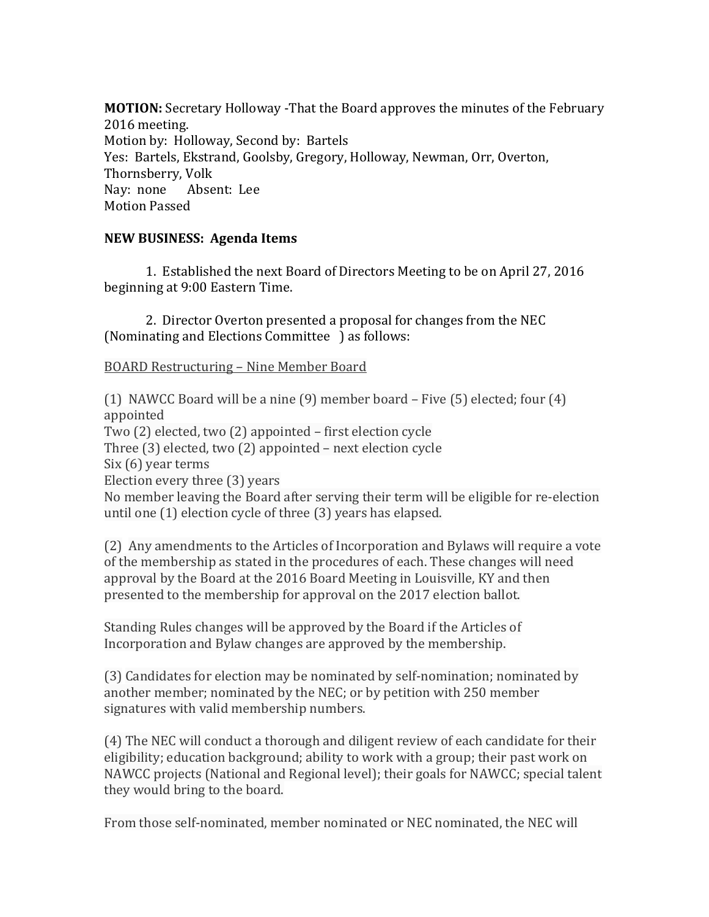**MOTION:** Secretary Holloway -That the Board approves the minutes of the February 2016 meeting. Motion by: Holloway, Second by: Bartels Yes: Bartels, Ekstrand, Goolsby, Gregory, Holloway, Newman, Orr, Overton, Thornsberry, Volk Nay: none Absent: Lee Motion Passed

# **NEW BUSINESS: Agenda Items**

1.Established the next Board of Directors Meeting to be on April 27, 2016 beginning at 9:00 Eastern Time.

2. Director Overton presented a proposal for changes from the NEC (Nominating and Elections Committee ) as follows:

## BOARD Restructuring – Nine Member Board

(1) NAWCC Board will be a nine (9) member board – Five (5) elected; four (4) appointed Two (2) elected, two (2) appointed – first election cycle Three (3) elected, two (2) appointed – next election cycle Six (6) year terms Election every three (3) years No member leaving the Board after serving their term will be eligible for re-election until one (1) election cycle of three (3) years has elapsed. (2) Any amendments to the Articles of Incorporation and Bylaws will require a vote

of the membership as stated in the procedures of each. These changes will need approval by the Board at the 2016 Board Meeting in Louisville, KY and then presented to the membership for approval on the 2017 election ballot.

Standing Rules changes will be approved by the Board if the Articles of Incorporation and Bylaw changes are approved by the membership.

(3) Candidates for election may be nominated by self-nomination; nominated by another member; nominated by the NEC; or by petition with 250 member signatures with valid membership numbers.

(4) The NEC will conduct a thorough and diligent review of each candidate for their eligibility; education background; ability to work with a group; their past work on NAWCC projects (National and Regional level); their goals for NAWCC; special talent they would bring to the board.

From those self-nominated, member nominated or NEC nominated, the NEC will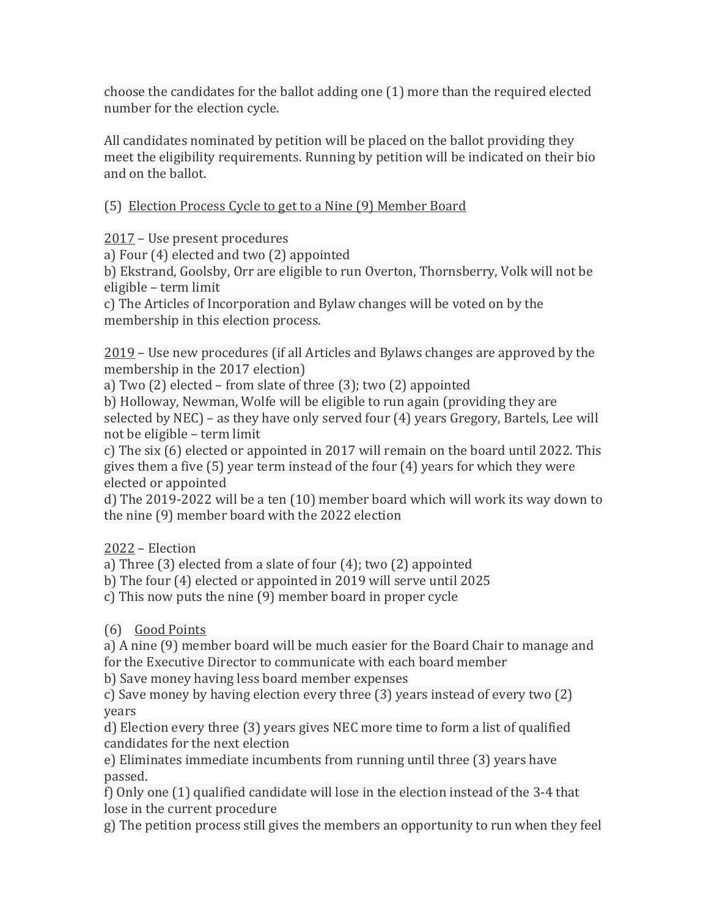choose the candidates for the ballot adding one (1) more than the required elected number for the election cycle.

All candidates nominated by petition will be placed on the ballot providing they meet the eligibility requirements. Running by petition will be indicated on their bio and on the ballot.

(5) Election Process Cycle to get to a Nine (9) Member Board

2017 – Use present procedures

a) Four (4) elected and two (2) appointed

b) Ekstrand, Goolsby, Orr are eligible to run Overton, Thornsberry, Volk will not be eligible – term limit

c) The Articles of Incorporation and Bylaw changes will be voted on by the membership in this election process.

2019 – Use new procedures (if all Articles and Bylaws changes are approved by the membership in the 2017 election)

a) Two (2) elected – from slate of three (3); two (2) appointed

b) Holloway, Newman, Wolfe will be eligible to run again (providing they are selected by NEC) – as they have only served four (4) years Gregory, Bartels, Lee will not be eligible – term limit

c) The six (6) elected or appointed in 2017 will remain on the board until 2022. This gives them a five (5) year term instead of the four (4) years for which they were elected or appointed

d) The 2019-2022 will be a ten (10) member board which will work its way down to the nine (9) member board with the 2022 election

2022 – Election

a) Three (3) elected from a slate of four (4); two (2) appointed

b) The four (4) elected or appointed in 2019 will serve until 2025

c) This now puts the nine (9) member board in proper cycle

(6) Good Points

a) A nine (9) member board will be much easier for the Board Chair to manage and for the Executive Director to communicate with each board member

b) Save money having less board member expenses

c) Save money by having election every three (3) years instead of every two (2) years

d) Election every three (3) years gives NEC more time to form a list of qualified candidates for the next election

e) Eliminates immediate incumbents from running until three (3) years have passed.

f) Only one (1) qualified candidate will lose in the election instead of the 3-4 that lose in the current procedure

g) The petition process still gives the members an opportunity to run when they feel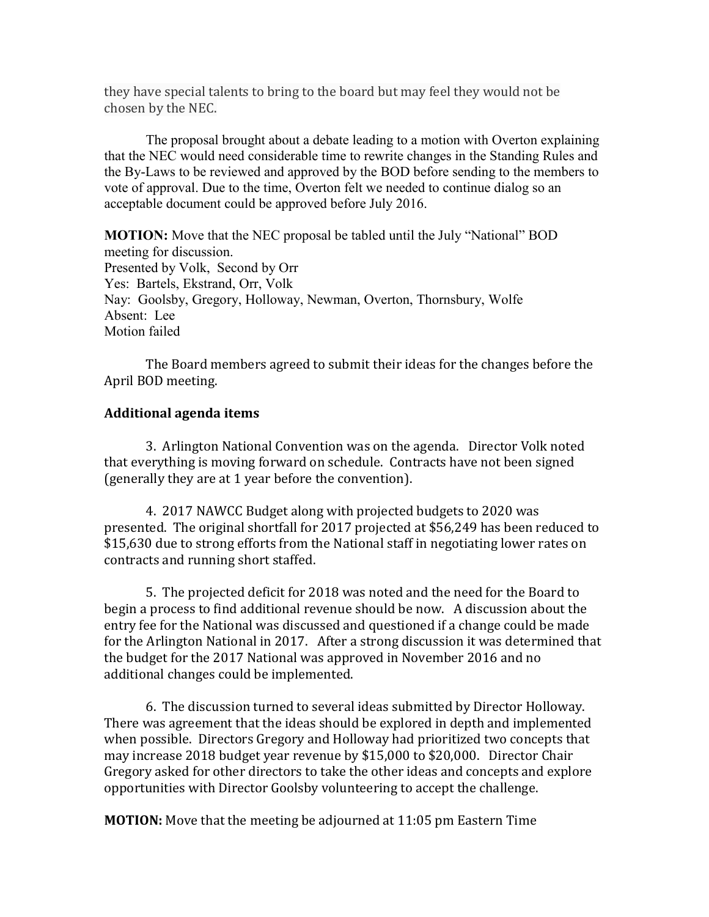they have special talents to bring to the board but may feel they would not be chosen by the NEC.

The proposal brought about a debate leading to a motion with Overton explaining that the NEC would need considerable time to rewrite changes in the Standing Rules and the By-Laws to be reviewed and approved by the BOD before sending to the members to vote of approval. Due to the time, Overton felt we needed to continue dialog so an acceptable document could be approved before July 2016.

**MOTION:** Move that the NEC proposal be tabled until the July "National" BOD meeting for discussion. Presented by Volk, Second by Orr Yes: Bartels, Ekstrand, Orr, Volk Nay: Goolsby, Gregory, Holloway, Newman, Overton, Thornsbury, Wolfe Absent: Lee Motion failed

The Board members agreed to submit their ideas for the changes before the April BOD meeting.

## **Additional agenda items**

3. Arlington National Convention was on the agenda. Director Volk noted that everything is moving forward on schedule. Contracts have not been signed (generally they are at 1 year before the convention).

4. 2017 NAWCC Budget along with projected budgets to 2020 was presented. The original shortfall for 2017 projected at \$56,249 has been reduced to \$15,630 due to strong efforts from the National staff in negotiating lower rates on contracts and running short staffed.

5. The projected deficit for 2018 was noted and the need for the Board to begin a process to find additional revenue should be now. A discussion about the entry fee for the National was discussed and questioned if a change could be made for the Arlington National in 2017. After a strong discussion it was determined that the budget for the 2017 National was approved in November 2016 and no additional changes could be implemented.

6. The discussion turned to several ideas submitted by Director Holloway. There was agreement that the ideas should be explored in depth and implemented when possible. Directors Gregory and Holloway had prioritized two concepts that may increase 2018 budget year revenue by \$15,000 to \$20,000. Director Chair Gregory asked for other directors to take the other ideas and concepts and explore opportunities with Director Goolsby volunteering to accept the challenge.

**MOTION:** Move that the meeting be adjourned at 11:05 pm Eastern Time